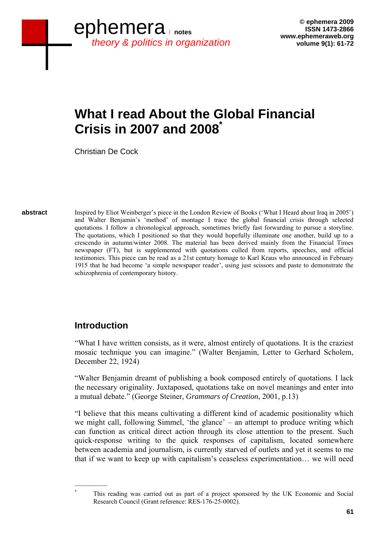# **What I read About the Global Financial Crisis in 2007 and 2008\***

Christian De Cock

**Review of abstract** 

Inspired by Eliot Weinberger's piece in the London Review of Books ('What I Heard about Iraq in 2005') and Walter Benjamin's 'method' of montage I trace the global financial crisis through selected quotations. I follow a chronological approach, sometimes briefly fast forwarding to pursue a storyline. The quotations, which I positioned so that they would hopefully illuminate one another, build up to a crescendo in autumn/winter 2008. The material has been derived mainly from the Financial Times newspaper (FT), but is supplemented with quotations culled from reports, speeches, and official testimonies. This piece can be read as a 21st century homage to Karl Kraus who announced in February 1915 that he had become 'a simple newspaper reader', using just scissors and paste to demonstrate the schizophrenia of contemporary history.

## **Introduction**

"What I have written consists, as it were, almost entirely of quotations. It is the craziest mosaic technique you can imagine." (Walter Benjamin, Letter to Gerhard Scholem, December 22, 1924)

"Walter Benjamin dreamt of publishing a book composed entirely of quotations. I lack the necessary originality. Juxtaposed, quotations take on novel meanings and enter into a mutual debate." (George Steiner, *Grammars of Creation*, 2001, p.13)

"I believe that this means cultivating a different kind of academic positionality which we might call, following Simmel, 'the glance' – an attempt to produce writing which can function as critical direct action through its close attention to the present. Such quick-response writing to the quick responses of capitalism, located somewhere between academia and journalism, is currently starved of outlets and yet it seems to me that if we want to keep up with capitalism's ceaseless experimentation… we will need

\*

 $\frac{1}{2}$ 

This reading was carried out as part of a project sponsored by the UK Economic and Social Research Council (Grant reference: RES-176-25-0002).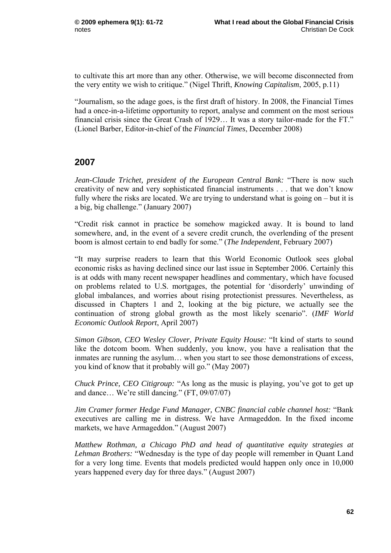to cultivate this art more than any other. Otherwise, we will become disconnected from the very entity we wish to critique." (Nigel Thrift, *Knowing Capitalism*, 2005, p.11)

"Journalism, so the adage goes, is the first draft of history. In 2008, the Financial Times had a once-in-a-lifetime opportunity to report, analyse and comment on the most serious financial crisis since the Great Crash of 1929… It was a story tailor-made for the FT." (Lionel Barber, Editor-in-chief of the *Financial Times*, December 2008)

### **2007**

*Jean-Claude Trichet, president of the European Central Bank:* "There is now such creativity of new and very sophisticated financial instruments . . . that we don't know fully where the risks are located. We are trying to understand what is going on – but it is a big, big challenge." (January 2007)

"Credit risk cannot in practice be somehow magicked away. It is bound to land somewhere, and, in the event of a severe credit crunch, the overlending of the present boom is almost certain to end badly for some." (*The Independent*, February 2007)

"It may surprise readers to learn that this World Economic Outlook sees global economic risks as having declined since our last issue in September 2006. Certainly this is at odds with many recent newspaper headlines and commentary, which have focused on problems related to U.S. mortgages, the potential for 'disorderly' unwinding of global imbalances, and worries about rising protectionist pressures. Nevertheless, as discussed in Chapters 1 and 2, looking at the big picture, we actually see the continuation of strong global growth as the most likely scenario". (*IMF World Economic Outlook Report*, April 2007)

*Simon Gibson, CEO Wesley Clover, Private Equity House:* "It kind of starts to sound like the dotcom boom. When suddenly, you know, you have a realisation that the inmates are running the asylum… when you start to see those demonstrations of excess, you kind of know that it probably will go." (May 2007)

*Chuck Prince, CEO Citigroup:* "As long as the music is playing, you've got to get up and dance… We're still dancing." (FT, 09/07/07)

*Jim Cramer former Hedge Fund Manager, CNBC financial cable channel host:* "Bank executives are calling me in distress. We have Armageddon. In the fixed income markets, we have Armageddon." (August 2007)

*Matthew Rothman, a Chicago PhD and head of quantitative equity strategies at Lehman Brothers:* "Wednesday is the type of day people will remember in Quant Land for a very long time. Events that models predicted would happen only once in 10,000 years happened every day for three days." (August 2007)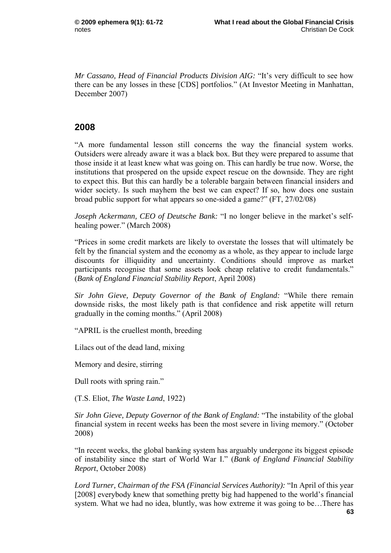*Mr Cassano, Head of Financial Products Division AIG:* "It's very difficult to see how there can be any losses in these [CDS] portfolios." (At Investor Meeting in Manhattan, December 2007)

#### **2008**

"A more fundamental lesson still concerns the way the financial system works. Outsiders were already aware it was a black box. But they were prepared to assume that those inside it at least knew what was going on. This can hardly be true now. Worse, the institutions that prospered on the upside expect rescue on the downside. They are right to expect this. But this can hardly be a tolerable bargain between financial insiders and wider society. Is such mayhem the best we can expect? If so, how does one sustain broad public support for what appears so one-sided a game?" (FT, 27/02/08)

*Joseph Ackermann, CEO of Deutsche Bank:* "I no longer believe in the market's selfhealing power." (March 2008)

"Prices in some credit markets are likely to overstate the losses that will ultimately be felt by the financial system and the economy as a whole, as they appear to include large discounts for illiquidity and uncertainty. Conditions should improve as market participants recognise that some assets look cheap relative to credit fundamentals." (*Bank of England Financial Stability Report*, April 2008)

*Sir John Gieve, Deputy Governor of the Bank of England:* "While there remain downside risks, the most likely path is that confidence and risk appetite will return gradually in the coming months." (April 2008)

"APRIL is the cruellest month, breeding

Lilacs out of the dead land, mixing

Memory and desire, stirring

Dull roots with spring rain."

(T.S. Eliot, *The Waste Land*, 1922)

*Sir John Gieve, Deputy Governor of the Bank of England:* "The instability of the global financial system in recent weeks has been the most severe in living memory." (October 2008)

"In recent weeks, the global banking system has arguably undergone its biggest episode of instability since the start of World War I." (*Bank of England Financial Stability Report*, October 2008)

 **63** *Lord Turner, Chairman of the FSA (Financial Services Authority):* "In April of this year [2008] everybody knew that something pretty big had happened to the world's financial system. What we had no idea, bluntly, was how extreme it was going to be…There has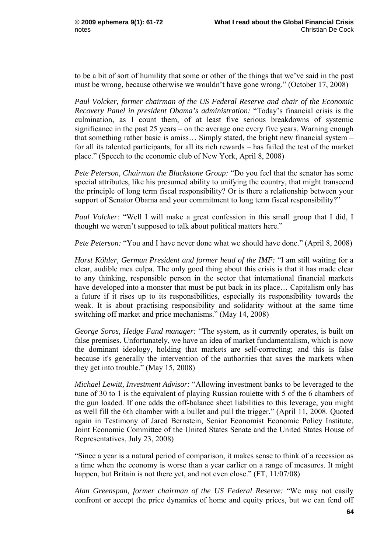to be a bit of sort of humility that some or other of the things that we've said in the past must be wrong, because otherwise we wouldn't have gone wrong." (October 17, 2008)

*Paul Volcker, former chairman of the US Federal Reserve and chair of the Economic Recovery Panel in president Obama's administration:* "Today's financial crisis is the culmination, as I count them, of at least five serious breakdowns of systemic significance in the past 25 years – on the average one every five years. Warning enough that something rather basic is amiss… Simply stated, the bright new financial system – for all its talented participants, for all its rich rewards – has failed the test of the market place." (Speech to the economic club of New York, April 8, 2008)

*Pete Peterson, Chairman the Blackstone Group:* "Do you feel that the senator has some special attributes, like his presumed ability to unifying the country, that might transcend the principle of long term fiscal responsibility? Or is there a relationship between your support of Senator Obama and your commitment to long term fiscal responsibility?"

*Paul Volcker:* "Well I will make a great confession in this small group that I did, I thought we weren't supposed to talk about political matters here."

*Pete Peterson:* "You and I have never done what we should have done." (April 8, 2008)

*Horst Köhler, German President and former head of the IMF:* "I am still waiting for a clear, audible mea culpa. The only good thing about this crisis is that it has made clear to any thinking, responsible person in the sector that international financial markets have developed into a monster that must be put back in its place... Capitalism only has a future if it rises up to its responsibilities, especially its responsibility towards the weak. It is about practising responsibility and solidarity without at the same time switching off market and price mechanisms." (May 14, 2008)

*George Soros, Hedge Fund manager:* "The system, as it currently operates, is built on false premises. Unfortunately, we have an idea of market fundamentalism, which is now the dominant ideology, holding that markets are self-correcting; and this is false because it's generally the intervention of the authorities that saves the markets when they get into trouble." (May 15, 2008)

*Michael Lewitt, Investment Advisor:* "Allowing investment banks to be leveraged to the tune of 30 to 1 is the equivalent of playing Russian roulette with 5 of the 6 chambers of the gun loaded. If one adds the off-balance sheet liabilities to this leverage, you might as well fill the 6th chamber with a bullet and pull the trigger." (April 11, 2008. Quoted again in Testimony of Jared Bernstein, Senior Economist Economic Policy Institute, Joint Economic Committee of the United States Senate and the United States House of Representatives, July 23, 2008)

"Since a year is a natural period of comparison, it makes sense to think of a recession as a time when the economy is worse than a year earlier on a range of measures. It might happen, but Britain is not there yet, and not even close." (FT, 11/07/08)

*Alan Greenspan, former chairman of the US Federal Reserve:* "We may not easily confront or accept the price dynamics of home and equity prices, but we can fend off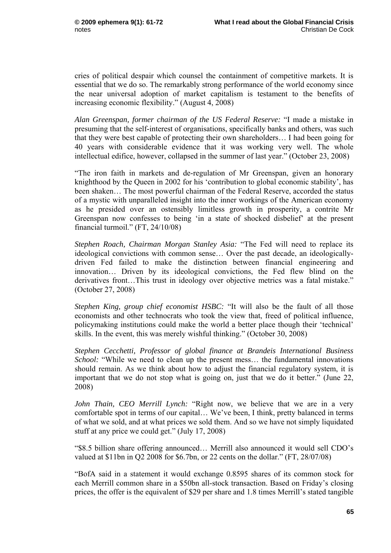cries of political despair which counsel the containment of competitive markets. It is essential that we do so. The remarkably strong performance of the world economy since the near universal adoption of market capitalism is testament to the benefits of increasing economic flexibility." (August 4, 2008)

*Alan Greenspan, former chairman of the US Federal Reserve:* "I made a mistake in presuming that the self-interest of organisations, specifically banks and others, was such that they were best capable of protecting their own shareholders… I had been going for 40 years with considerable evidence that it was working very well. The whole intellectual edifice, however, collapsed in the summer of last year." (October 23, 2008)

"The iron faith in markets and de-regulation of Mr Greenspan, given an honorary knighthood by the Queen in 2002 for his 'contribution to global economic stability', has been shaken… The most powerful chairman of the Federal Reserve, accorded the status of a mystic with unparalleled insight into the inner workings of the American economy as he presided over an ostensibly limitless growth in prosperity, a contrite Mr Greenspan now confesses to being 'in a state of shocked disbelief' at the present financial turmoil." (FT, 24/10/08)

*Stephen Roach, Chairman Morgan Stanley Asia:* "The Fed will need to replace its ideological convictions with common sense… Over the past decade, an ideologicallydriven Fed failed to make the distinction between financial engineering and innovation… Driven by its ideological convictions, the Fed flew blind on the derivatives front…This trust in ideology over objective metrics was a fatal mistake." (October 27, 2008)

*Stephen King, group chief economist HSBC:* "It will also be the fault of all those economists and other technocrats who took the view that, freed of political influence, policymaking institutions could make the world a better place though their 'technical' skills. In the event, this was merely wishful thinking." (October 30, 2008)

*Stephen Cecchetti, Professor of global finance at Brandeis International Business School:* "While we need to clean up the present mess... the fundamental innovations should remain. As we think about how to adjust the financial regulatory system, it is important that we do not stop what is going on, just that we do it better." (June 22, 2008)

*John Thain, CEO Merrill Lynch:* "Right now, we believe that we are in a very comfortable spot in terms of our capital… We've been, I think, pretty balanced in terms of what we sold, and at what prices we sold them. And so we have not simply liquidated stuff at any price we could get." (July 17, 2008)

"\$8.5 billion share offering announced… Merrill also announced it would sell CDO's valued at \$11bn in Q2 2008 for \$6.7bn, or 22 cents on the dollar." (FT, 28/07/08)

"BofA said in a statement it would exchange 0.8595 shares of its common stock for each Merrill common share in a \$50bn all-stock transaction. Based on Friday's closing prices, the offer is the equivalent of \$29 per share and 1.8 times Merrill's stated tangible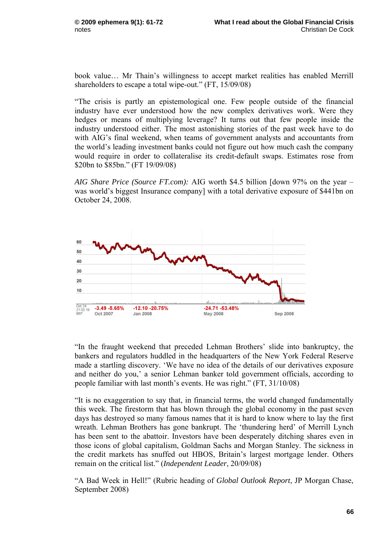book value… Mr Thain's willingness to accept market realities has enabled Merrill shareholders to escape a total wipe-out." (FT, 15/09/08)

"The crisis is partly an epistemological one. Few people outside of the financial industry have ever understood how the new complex derivatives work. Were they hedges or means of multiplying leverage? It turns out that few people inside the industry understood either. The most astonishing stories of the past week have to do with AIG's final weekend, when teams of government analysts and accountants from the world's leading investment banks could not figure out how much cash the company would require in order to collateralise its credit-default swaps. Estimates rose from \$20bn to \$85bn." (FT 19/09/08)

*AIG Share Price (Source FT.com):* AIG worth \$4.5 billion [down 97% on the year – was world's biggest Insurance company] with a total derivative exposure of \$441bn on October 24, 2008.



"In the fraught weekend that preceded Lehman Brothers' slide into bankruptcy, the bankers and regulators huddled in the headquarters of the New York Federal Reserve made a startling discovery. 'We have no idea of the details of our derivatives exposure and neither do you,' a senior Lehman banker told government officials, according to people familiar with last month's events. He was right." (FT, 31/10/08)

"It is no exaggeration to say that, in financial terms, the world changed fundamentally this week. The firestorm that has blown through the global economy in the past seven days has destroyed so many famous names that it is hard to know where to lay the first wreath. Lehman Brothers has gone bankrupt. The 'thundering herd' of Merrill Lynch has been sent to the abattoir. Investors have been desperately ditching shares even in those icons of global capitalism, Goldman Sachs and Morgan Stanley. The sickness in the credit markets has snuffed out HBOS, Britain's largest mortgage lender. Others remain on the critical list." (*Independent Leader*, 20/09/08)

"A Bad Week in Hell!" (Rubric heading of *Global Outlook Report*, JP Morgan Chase, September 2008)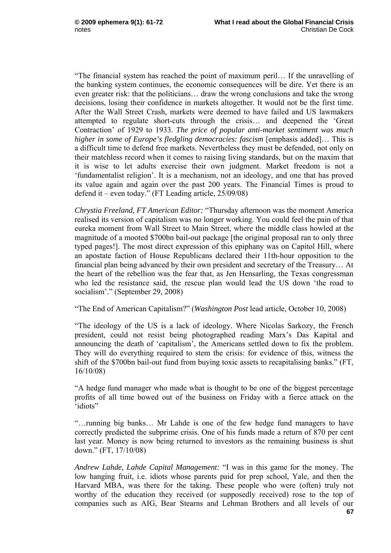"The financial system has reached the point of maximum peril… If the unravelling of the banking system continues, the economic consequences will be dire. Yet there is an even greater risk: that the politicians… draw the wrong conclusions and take the wrong decisions, losing their confidence in markets altogether. It would not be the first time. After the Wall Street Crash, markets were deemed to have failed and US lawmakers attempted to regulate short-cuts through the crisis… and deepened the 'Great Contraction' of 1929 to 1933. *The price of popular anti-market sentiment was much higher in some of Europe's fledgling democracies: fascism* [emphasis added]… This is a difficult time to defend free markets. Nevertheless they must be defended, not only on their matchless record when it comes to raising living standards, but on the maxim that it is wise to let adults exercise their own judgment. Market freedom is not a 'fundamentalist religion'. It is a mechanism, not an ideology, and one that has proved its value again and again over the past 200 years. The Financial Times is proud to defend it – even today." (FT Leading article, 25/09/08)

*Chrystia Freeland, FT American Editor:* "Thursday afternoon was the moment America realised its version of capitalism was no longer working. You could feel the pain of that eureka moment from Wall Street to Main Street, where the middle class howled at the magnitude of a mooted \$700bn bail-out package [the original proposal ran to only three typed pages!]. The most direct expression of this epiphany was on Capitol Hill, where an apostate faction of House Republicans declared their 11th-hour opposition to the financial plan being advanced by their own president and secretary of the Treasury… At the heart of the rebellion was the fear that, as Jen Hensarling, the Texas congressman who led the resistance said, the rescue plan would lead the US down 'the road to socialism'." (September 29, 2008)

"The End of American Capitalism?" (*Washington Post* lead article, October 10, 2008)

"The ideology of the US is a lack of ideology. Where Nicolas Sarkozy, the French president, could not resist being photographed reading Marx's Das Kapital and announcing the death of 'capitalism', the Americans settled down to fix the problem. They will do everything required to stem the crisis: for evidence of this, witness the shift of the \$700bn bail-out fund from buying toxic assets to recapitalising banks." (FT, 16/10/08)

"A hedge fund manager who made what is thought to be one of the biggest percentage profits of all time bowed out of the business on Friday with a fierce attack on the 'idiots"

"…running big banks… Mr Lahde is one of the few hedge fund managers to have correctly predicted the subprime crisis. One of his funds made a return of 870 per cent last year. Money is now being returned to investors as the remaining business is shut down." (FT, 17/10/08)

 **67** *Andrew Lahde, Lahde Capital Management:* "I was in this game for the money. The low hanging fruit, i.e. idiots whose parents paid for prep school, Yale, and then the Harvard MBA, was there for the taking. These people who were (often) truly not worthy of the education they received (or supposedly received) rose to the top of companies such as AIG, Bear Stearns and Lehman Brothers and all levels of our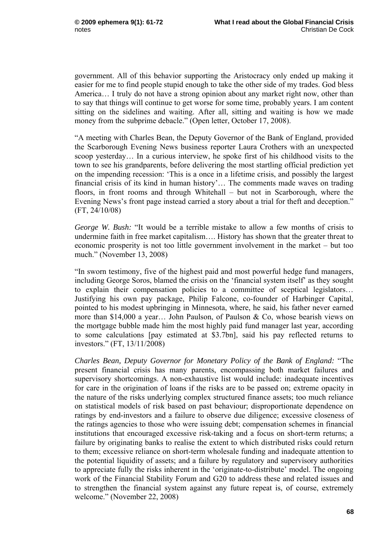government. All of this behavior supporting the Aristocracy only ended up making it easier for me to find people stupid enough to take the other side of my trades. God bless America… I truly do not have a strong opinion about any market right now, other than to say that things will continue to get worse for some time, probably years. I am content sitting on the sidelines and waiting. After all, sitting and waiting is how we made money from the subprime debacle." (Open letter, October 17, 2008).

"A meeting with Charles Bean, the Deputy Governor of the Bank of England, provided the Scarborough Evening News business reporter Laura Crothers with an unexpected scoop yesterday… In a curious interview, he spoke first of his childhood visits to the town to see his grandparents, before delivering the most startling official prediction yet on the impending recession: 'This is a once in a lifetime crisis, and possibly the largest financial crisis of its kind in human history'… The comments made waves on trading floors, in front rooms and through Whitehall – but not in Scarborough, where the Evening News's front page instead carried a story about a trial for theft and deception." (FT, 24/10/08)

*George W. Bush:* "It would be a terrible mistake to allow a few months of crisis to undermine faith in free market capitalism…. History has shown that the greater threat to economic prosperity is not too little government involvement in the market – but too much." (November 13, 2008)

"In sworn testimony, five of the highest paid and most powerful hedge fund managers, including George Soros, blamed the crisis on the 'financial system itself' as they sought to explain their compensation policies to a committee of sceptical legislators… Justifying his own pay package, Philip Falcone, co-founder of Harbinger Capital, pointed to his modest upbringing in Minnesota, where, he said, his father never earned more than \$14,000 a year… John Paulson, of Paulson & Co, whose bearish views on the mortgage bubble made him the most highly paid fund manager last year, according to some calculations [pay estimated at \$3.7bn], said his pay reflected returns to investors." (FT, 13/11/2008)

*Charles Bean, Deputy Governor for Monetary Policy of the Bank of England:* "The present financial crisis has many parents, encompassing both market failures and supervisory shortcomings. A non-exhaustive list would include: inadequate incentives for care in the origination of loans if the risks are to be passed on; extreme opacity in the nature of the risks underlying complex structured finance assets; too much reliance on statistical models of risk based on past behaviour; disproportionate dependence on ratings by end-investors and a failure to observe due diligence; excessive closeness of the ratings agencies to those who were issuing debt; compensation schemes in financial institutions that encouraged excessive risk-taking and a focus on short-term returns; a failure by originating banks to realise the extent to which distributed risks could return to them; excessive reliance on short-term wholesale funding and inadequate attention to the potential liquidity of assets; and a failure by regulatory and supervisory authorities to appreciate fully the risks inherent in the 'originate-to-distribute' model. The ongoing work of the Financial Stability Forum and G20 to address these and related issues and to strengthen the financial system against any future repeat is, of course, extremely welcome." (November 22, 2008)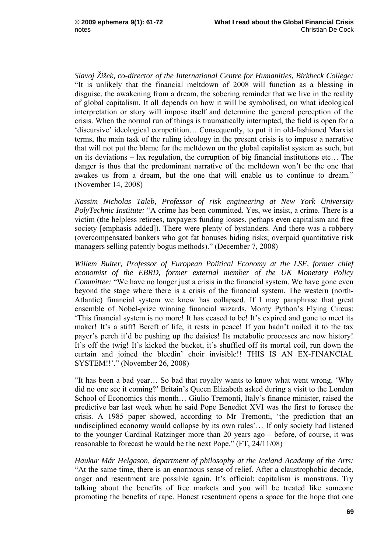*Slavoj Žižek, co-director of the International Centre for Humanities, Birkbeck College:* "It is unlikely that the financial meltdown of 2008 will function as a blessing in disguise, the awakening from a dream, the sobering reminder that we live in the reality of global capitalism. It all depends on how it will be symbolised, on what ideological interpretation or story will impose itself and determine the general perception of the crisis. When the normal run of things is traumatically interrupted, the field is open for a 'discursive' ideological competition… Consequently, to put it in old-fashioned Marxist terms, the main task of the ruling ideology in the present crisis is to impose a narrative that will not put the blame for the meltdown on the global capitalist system as such, but on its deviations – lax regulation, the corruption of big financial institutions etc… The danger is thus that the predominant narrative of the meltdown won't be the one that awakes us from a dream, but the one that will enable us to continue to dream." (November 14, 2008)

*Nassim Nicholas Taleb, Professor of risk engineering at New York University PolyTechnic Institute:* "A crime has been committed. Yes, we insist, a crime. There is a victim (the helpless retirees, taxpayers funding losses, perhaps even capitalism and free society [emphasis added]). There were plenty of bystanders. And there was a robbery (overcompensated bankers who got fat bonuses hiding risks; overpaid quantitative risk managers selling patently bogus methods)." (December 7, 2008)

*Willem Buiter, Professor of European Political Economy at the LSE, former chief economist of the EBRD, former external member of the UK Monetary Policy Committee:* "We have no longer just a crisis in the financial system. We have gone even beyond the stage where there is a crisis of the financial system. The western (north-Atlantic) financial system we knew has collapsed. If I may paraphrase that great ensemble of Nobel-prize winning financial wizards, Monty Python's Flying Circus: 'This financial system is no more! It has ceased to be! It's expired and gone to meet its maker! It's a stiff! Bereft of life, it rests in peace! If you hadn't nailed it to the tax payer's perch it'd be pushing up the daisies! Its metabolic processes are now history! It's off the twig! It's kicked the bucket, it's shuffled off its mortal coil, run down the curtain and joined the bleedin' choir invisible!! THIS IS AN EX-FINANCIAL SYSTEM!!'." (November 26, 2008)

"It has been a bad year… So bad that royalty wants to know what went wrong. 'Why did no one see it coming?' Britain's Queen Elizabeth asked during a visit to the London School of Economics this month… Giulio Tremonti, Italy's finance minister, raised the predictive bar last week when he said Pope Benedict XVI was the first to foresee the crisis. A 1985 paper showed, according to Mr Tremonti, 'the prediction that an undisciplined economy would collapse by its own rules'… If only society had listened to the younger Cardinal Ratzinger more than 20 years ago – before, of course, it was reasonable to forecast he would be the next Pope." (FT, 24/11/08)

*Haukur Már Helgason, department of philosophy at the Iceland Academy of the Arts:* "At the same time, there is an enormous sense of relief. After a claustrophobic decade, anger and resentment are possible again. It's official: capitalism is monstrous. Try talking about the benefits of free markets and you will be treated like someone promoting the benefits of rape. Honest resentment opens a space for the hope that one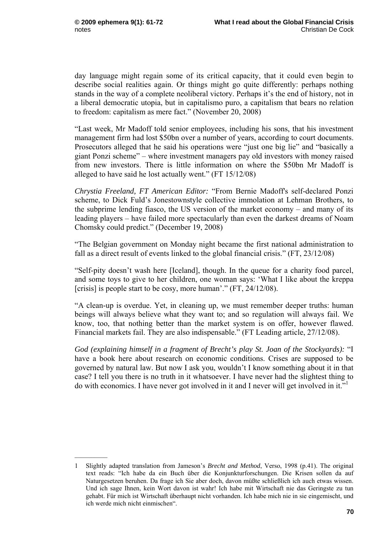$\frac{1}{2}$ 

day language might regain some of its critical capacity, that it could even begin to describe social realities again. Or things might go quite differently: perhaps nothing stands in the way of a complete neoliberal victory. Perhaps it's the end of history, not in a liberal democratic utopia, but in capitalismo puro, a capitalism that bears no relation to freedom: capitalism as mere fact." (November 20, 2008)

"Last week, Mr Madoff told senior employees, including his sons, that his investment management firm had lost \$50bn over a number of years, according to court documents. Prosecutors alleged that he said his operations were "just one big lie" and "basically a giant Ponzi scheme" – where investment managers pay old investors with money raised from new investors. There is little information on where the \$50bn Mr Madoff is alleged to have said he lost actually went." (FT 15/12/08)

*Chrystia Freeland, FT American Editor:* "From Bernie Madoff's self-declared Ponzi scheme, to Dick Fuld's Jonestownstyle collective immolation at Lehman Brothers, to the subprime lending fiasco, the US version of the market economy – and many of its leading players – have failed more spectacularly than even the darkest dreams of Noam Chomsky could predict." (December 19, 2008)

"The Belgian government on Monday night became the first national administration to fall as a direct result of events linked to the global financial crisis." (FT, 23/12/08)

"Self-pity doesn't wash here [Iceland], though. In the queue for a charity food parcel, and some toys to give to her children, one woman says: 'What I like about the kreppa [crisis] is people start to be cosy, more human'." (FT, 24/12/08).

"A clean-up is overdue. Yet, in cleaning up, we must remember deeper truths: human beings will always believe what they want to; and so regulation will always fail. We know, too, that nothing better than the market system is on offer, however flawed. Financial markets fail. They are also indispensable." (FT Leading article, 27/12/08).

*God (explaining himself in a fragment of Brecht's play St. Joan of the Stockyards):* "I have a book here about research on economic conditions. Crises are supposed to be governed by natural law. But now I ask you, wouldn't I know something about it in that case? I tell you there is no truth in it whatsoever. I have never had the slightest thing to do with economics. I have never got involved in it and I never will get involved in it."1

<sup>1</sup> Slightly adapted translation from Jameson's *Brecht and Method*, Verso, 1998 (p.41). The original text reads: "Ich habe da ein Buch über die Konjunkturforschungen. Die Krisen sollen da auf Naturgesetzen beruhen. Da frage ich Sie aber doch, davon müßte schließlich ich auch etwas wissen. Und ich sage Ihnen, kein Wort davon ist wahr! Ich habe mit Wirtschaft nie das Geringste zu tun gehabt. Für mich ist Wirtschaft überhaupt nicht vorhanden. Ich habe mich nie in sie eingemischt, und ich werde mich nicht einmischen".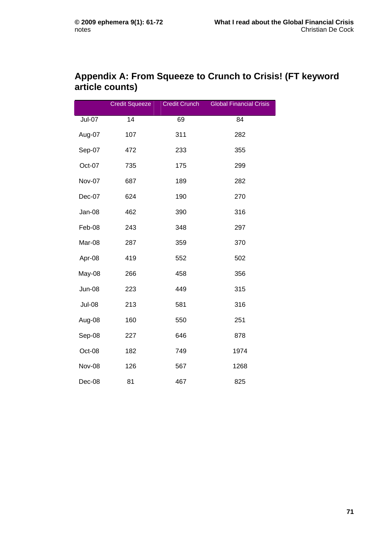## **Appendix A: From Squeeze to Crunch to Crisis! (FT keyword article counts)**

|               | <b>Credit Squeeze</b> | <b>Credit Crunch</b> | <b>Global Financial Crisis</b> |
|---------------|-----------------------|----------------------|--------------------------------|
| $Jul-07$      | 14                    | 69                   | $\overline{84}$                |
| Aug-07        | 107                   | 311                  | 282                            |
| Sep-07        | 472                   | 233                  | 355                            |
| Oct-07        | 735                   | 175                  | 299                            |
| Nov-07        | 687                   | 189                  | 282                            |
| Dec-07        | 624                   | 190                  | 270                            |
| Jan-08        | 462                   | 390                  | 316                            |
| Feb-08        | 243                   | 348                  | 297                            |
| Mar-08        | 287                   | 359                  | 370                            |
| Apr-08        | 419                   | 552                  | 502                            |
| May-08        | 266                   | 458                  | 356                            |
| Jun-08        | 223                   | 449                  | 315                            |
| <b>Jul-08</b> | 213                   | 581                  | 316                            |
| Aug-08        | 160                   | 550                  | 251                            |
| Sep-08        | 227                   | 646                  | 878                            |
| Oct-08        | 182                   | 749                  | 1974                           |
| Nov-08        | 126                   | 567                  | 1268                           |
| Dec-08        | 81                    | 467                  | 825                            |